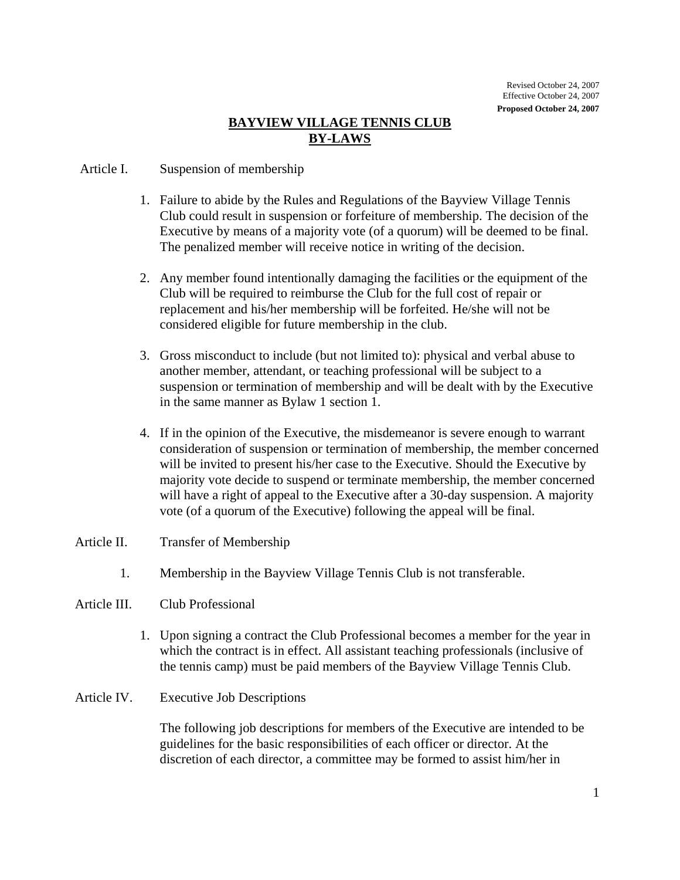## **BAYVIEW VILLAGE TENNIS CLUB BY-LAWS**

## Article I. Suspension of membership

- 1. Failure to abide by the Rules and Regulations of the Bayview Village Tennis Club could result in suspension or forfeiture of membership. The decision of the Executive by means of a majority vote (of a quorum) will be deemed to be final. The penalized member will receive notice in writing of the decision.
- 2. Any member found intentionally damaging the facilities or the equipment of the Club will be required to reimburse the Club for the full cost of repair or replacement and his/her membership will be forfeited. He/she will not be considered eligible for future membership in the club.
- 3. Gross misconduct to include (but not limited to): physical and verbal abuse to another member, attendant, or teaching professional will be subject to a suspension or termination of membership and will be dealt with by the Executive in the same manner as Bylaw 1 section 1.
- 4. If in the opinion of the Executive, the misdemeanor is severe enough to warrant consideration of suspension or termination of membership, the member concerned will be invited to present his/her case to the Executive. Should the Executive by majority vote decide to suspend or terminate membership, the member concerned will have a right of appeal to the Executive after a 30-day suspension. A majority vote (of a quorum of the Executive) following the appeal will be final.
- Article II. Transfer of Membership
	- 1. Membership in the Bayview Village Tennis Club is not transferable.
- Article III. Club Professional
	- 1. Upon signing a contract the Club Professional becomes a member for the year in which the contract is in effect. All assistant teaching professionals (inclusive of the tennis camp) must be paid members of the Bayview Village Tennis Club.
- Article IV. Executive Job Descriptions

The following job descriptions for members of the Executive are intended to be guidelines for the basic responsibilities of each officer or director. At the discretion of each director, a committee may be formed to assist him/her in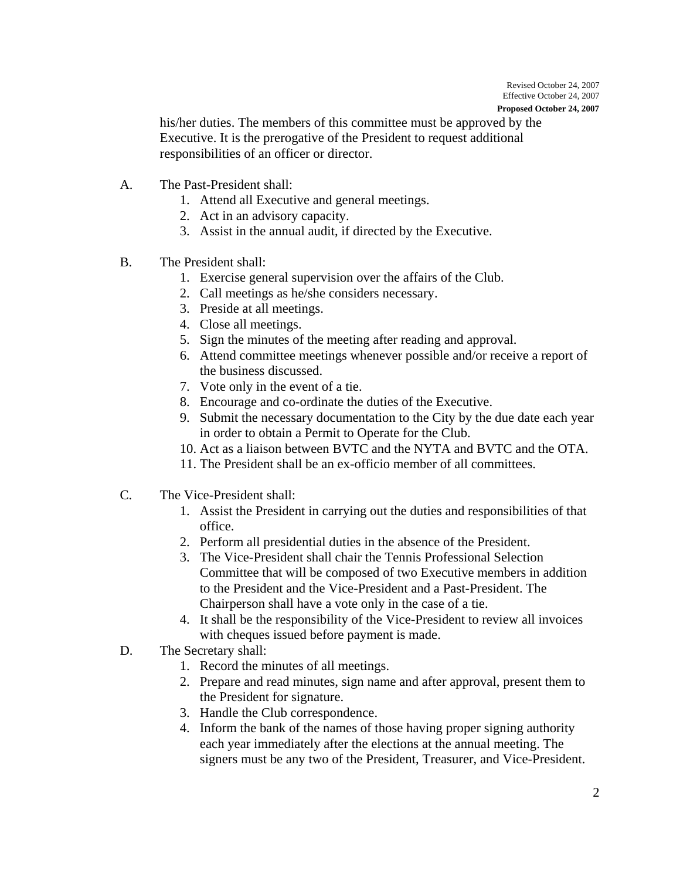**Proposed October 24, 2007** 

his/her duties. The members of this committee must be approved by the Executive. It is the prerogative of the President to request additional responsibilities of an officer or director.

- A. The Past-President shall:
	- 1. Attend all Executive and general meetings.
	- 2. Act in an advisory capacity.
	- 3. Assist in the annual audit, if directed by the Executive.
- B. The President shall:
	- 1. Exercise general supervision over the affairs of the Club.
	- 2. Call meetings as he/she considers necessary.
	- 3. Preside at all meetings.
	- 4. Close all meetings.
	- 5. Sign the minutes of the meeting after reading and approval.
	- 6. Attend committee meetings whenever possible and/or receive a report of the business discussed.
	- 7. Vote only in the event of a tie.
	- 8. Encourage and co-ordinate the duties of the Executive.
	- 9. Submit the necessary documentation to the City by the due date each year in order to obtain a Permit to Operate for the Club.
	- 10. Act as a liaison between BVTC and the NYTA and BVTC and the OTA.
	- 11. The President shall be an ex-officio member of all committees.
- C. The Vice-President shall:
	- 1. Assist the President in carrying out the duties and responsibilities of that office.
	- 2. Perform all presidential duties in the absence of the President.
	- 3. The Vice-President shall chair the Tennis Professional Selection Committee that will be composed of two Executive members in addition to the President and the Vice-President and a Past-President. The Chairperson shall have a vote only in the case of a tie.
	- 4. It shall be the responsibility of the Vice-President to review all invoices with cheques issued before payment is made.
- D. The Secretary shall:
	- 1. Record the minutes of all meetings.
	- 2. Prepare and read minutes, sign name and after approval, present them to the President for signature.
	- 3. Handle the Club correspondence.
	- 4. Inform the bank of the names of those having proper signing authority each year immediately after the elections at the annual meeting. The signers must be any two of the President, Treasurer, and Vice-President.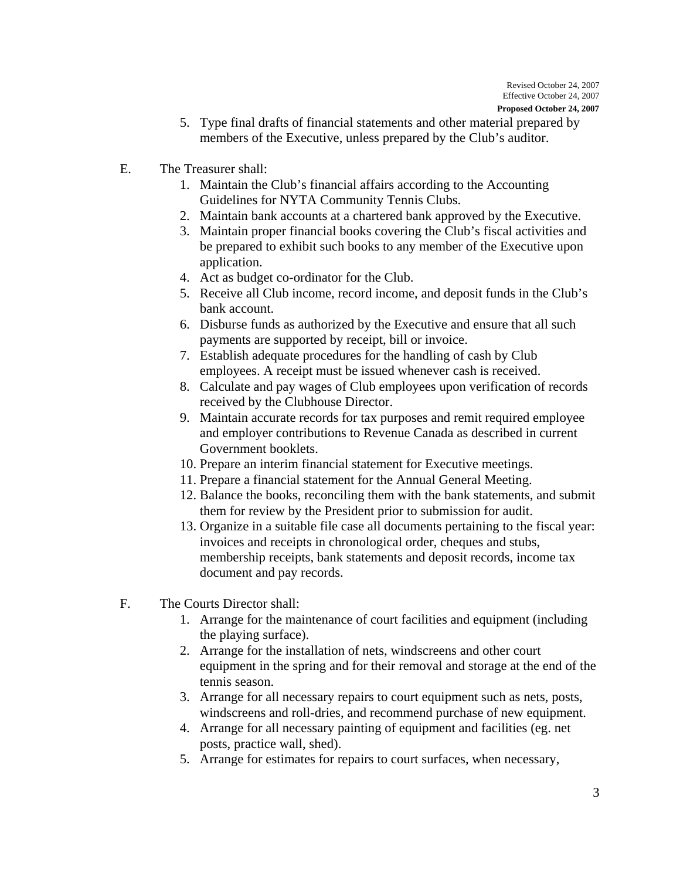- **Proposed October 24, 2007**
- 5. Type final drafts of financial statements and other material prepared by members of the Executive, unless prepared by the Club's auditor.
- E. The Treasurer shall:
	- 1. Maintain the Club's financial affairs according to the Accounting Guidelines for NYTA Community Tennis Clubs.
	- 2. Maintain bank accounts at a chartered bank approved by the Executive.
	- 3. Maintain proper financial books covering the Club's fiscal activities and be prepared to exhibit such books to any member of the Executive upon application.
	- 4. Act as budget co-ordinator for the Club.
	- 5. Receive all Club income, record income, and deposit funds in the Club's bank account.
	- 6. Disburse funds as authorized by the Executive and ensure that all such payments are supported by receipt, bill or invoice.
	- 7. Establish adequate procedures for the handling of cash by Club employees. A receipt must be issued whenever cash is received.
	- 8. Calculate and pay wages of Club employees upon verification of records received by the Clubhouse Director.
	- 9. Maintain accurate records for tax purposes and remit required employee and employer contributions to Revenue Canada as described in current Government booklets.
	- 10. Prepare an interim financial statement for Executive meetings.
	- 11. Prepare a financial statement for the Annual General Meeting.
	- 12. Balance the books, reconciling them with the bank statements, and submit them for review by the President prior to submission for audit.
	- 13. Organize in a suitable file case all documents pertaining to the fiscal year: invoices and receipts in chronological order, cheques and stubs, membership receipts, bank statements and deposit records, income tax document and pay records.
- F. The Courts Director shall:
	- 1. Arrange for the maintenance of court facilities and equipment (including the playing surface).
	- 2. Arrange for the installation of nets, windscreens and other court equipment in the spring and for their removal and storage at the end of the tennis season.
	- 3. Arrange for all necessary repairs to court equipment such as nets, posts, windscreens and roll-dries, and recommend purchase of new equipment.
	- 4. Arrange for all necessary painting of equipment and facilities (eg. net posts, practice wall, shed).
	- 5. Arrange for estimates for repairs to court surfaces, when necessary,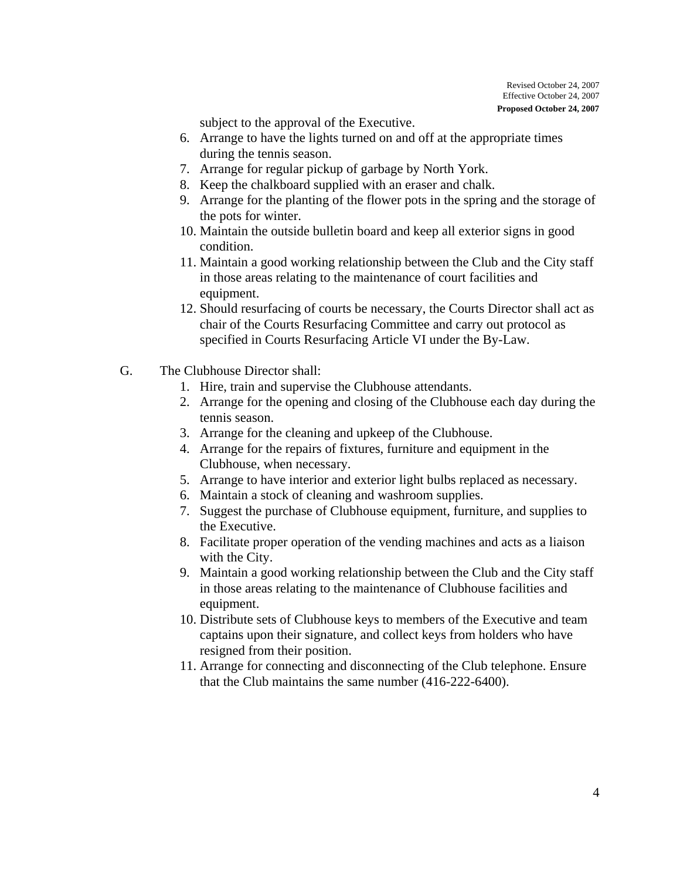subject to the approval of the Executive.

- 6. Arrange to have the lights turned on and off at the appropriate times during the tennis season.
- 7. Arrange for regular pickup of garbage by North York.
- 8. Keep the chalkboard supplied with an eraser and chalk.
- 9. Arrange for the planting of the flower pots in the spring and the storage of the pots for winter.
- 10. Maintain the outside bulletin board and keep all exterior signs in good condition.
- 11. Maintain a good working relationship between the Club and the City staff in those areas relating to the maintenance of court facilities and equipment.
- 12. Should resurfacing of courts be necessary, the Courts Director shall act as chair of the Courts Resurfacing Committee and carry out protocol as specified in Courts Resurfacing Article VI under the By-Law.
- G. The Clubhouse Director shall:
	- 1. Hire, train and supervise the Clubhouse attendants.
	- 2. Arrange for the opening and closing of the Clubhouse each day during the tennis season.
	- 3. Arrange for the cleaning and upkeep of the Clubhouse.
	- 4. Arrange for the repairs of fixtures, furniture and equipment in the Clubhouse, when necessary.
	- 5. Arrange to have interior and exterior light bulbs replaced as necessary.
	- 6. Maintain a stock of cleaning and washroom supplies.
	- 7. Suggest the purchase of Clubhouse equipment, furniture, and supplies to the Executive.
	- 8. Facilitate proper operation of the vending machines and acts as a liaison with the City.
	- 9. Maintain a good working relationship between the Club and the City staff in those areas relating to the maintenance of Clubhouse facilities and equipment.
	- 10. Distribute sets of Clubhouse keys to members of the Executive and team captains upon their signature, and collect keys from holders who have resigned from their position.
	- 11. Arrange for connecting and disconnecting of the Club telephone. Ensure that the Club maintains the same number (416-222-6400).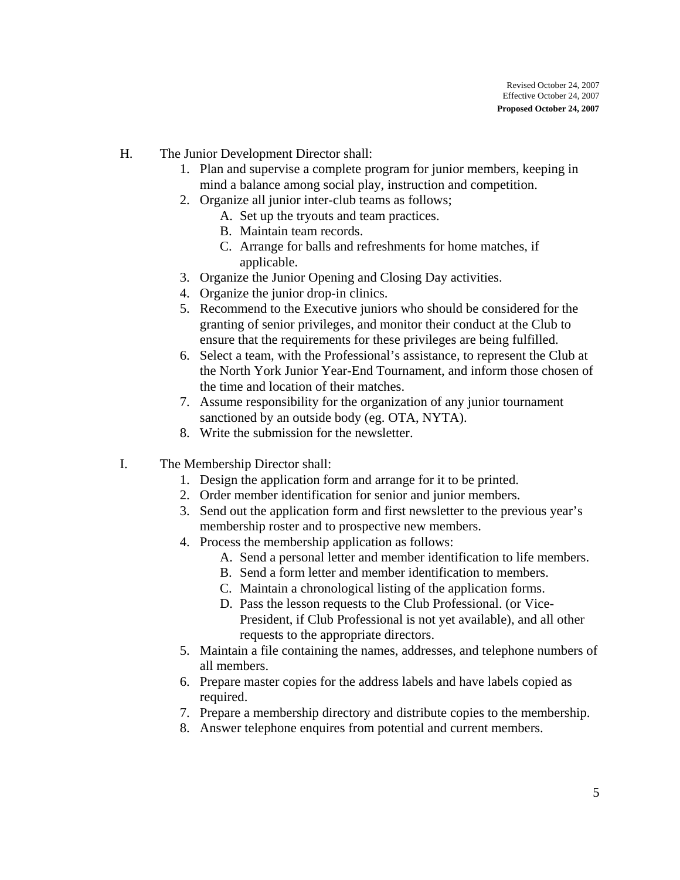- H. The Junior Development Director shall:
	- 1. Plan and supervise a complete program for junior members, keeping in mind a balance among social play, instruction and competition.
	- 2. Organize all junior inter-club teams as follows;
		- A. Set up the tryouts and team practices.
		- B. Maintain team records.
		- C. Arrange for balls and refreshments for home matches, if applicable.
	- 3. Organize the Junior Opening and Closing Day activities.
	- 4. Organize the junior drop-in clinics.
	- 5. Recommend to the Executive juniors who should be considered for the granting of senior privileges, and monitor their conduct at the Club to ensure that the requirements for these privileges are being fulfilled.
	- 6. Select a team, with the Professional's assistance, to represent the Club at the North York Junior Year-End Tournament, and inform those chosen of the time and location of their matches.
	- 7. Assume responsibility for the organization of any junior tournament sanctioned by an outside body (eg. OTA, NYTA).
	- 8. Write the submission for the newsletter.
- I. The Membership Director shall:
	- 1. Design the application form and arrange for it to be printed.
	- 2. Order member identification for senior and junior members.
	- 3. Send out the application form and first newsletter to the previous year's membership roster and to prospective new members.
	- 4. Process the membership application as follows:
		- A. Send a personal letter and member identification to life members.
		- B. Send a form letter and member identification to members.
		- C. Maintain a chronological listing of the application forms.
		- D. Pass the lesson requests to the Club Professional. (or Vice-President, if Club Professional is not yet available), and all other requests to the appropriate directors.
	- 5. Maintain a file containing the names, addresses, and telephone numbers of all members.
	- 6. Prepare master copies for the address labels and have labels copied as required.
	- 7. Prepare a membership directory and distribute copies to the membership.
	- 8. Answer telephone enquires from potential and current members.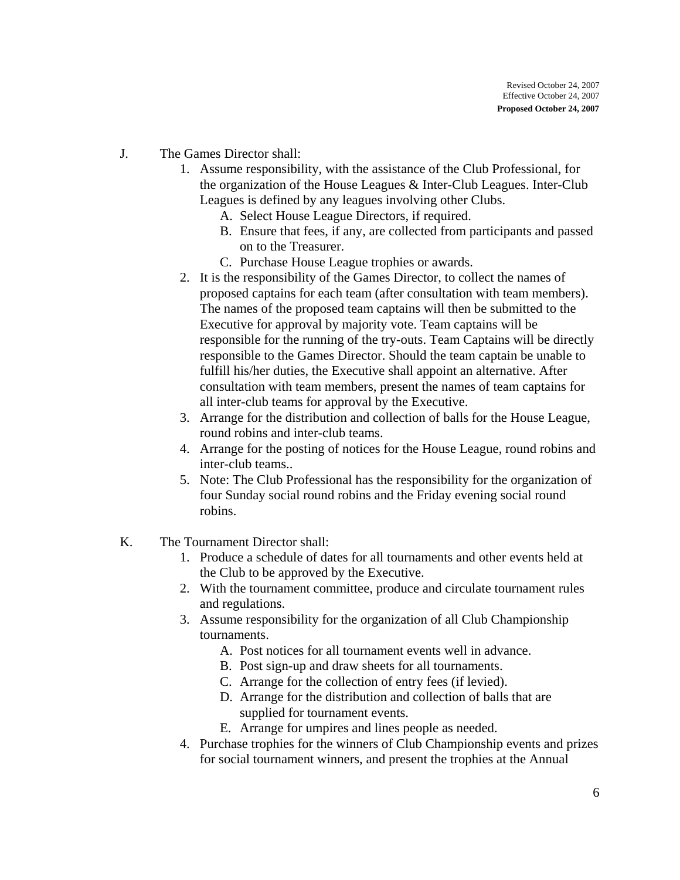- J. The Games Director shall:
	- 1. Assume responsibility, with the assistance of the Club Professional, for the organization of the House Leagues & Inter-Club Leagues. Inter-Club Leagues is defined by any leagues involving other Clubs.
		- A. Select House League Directors, if required.
		- B. Ensure that fees, if any, are collected from participants and passed on to the Treasurer.
		- C. Purchase House League trophies or awards.
	- 2. It is the responsibility of the Games Director, to collect the names of proposed captains for each team (after consultation with team members). The names of the proposed team captains will then be submitted to the Executive for approval by majority vote. Team captains will be responsible for the running of the try-outs. Team Captains will be directly responsible to the Games Director. Should the team captain be unable to fulfill his/her duties, the Executive shall appoint an alternative. After consultation with team members, present the names of team captains for all inter-club teams for approval by the Executive.
	- 3. Arrange for the distribution and collection of balls for the House League, round robins and inter-club teams.
	- 4. Arrange for the posting of notices for the House League, round robins and inter-club teams..
	- 5. Note: The Club Professional has the responsibility for the organization of four Sunday social round robins and the Friday evening social round robins.
- K. The Tournament Director shall:
	- 1. Produce a schedule of dates for all tournaments and other events held at the Club to be approved by the Executive.
	- 2. With the tournament committee, produce and circulate tournament rules and regulations.
	- 3. Assume responsibility for the organization of all Club Championship tournaments.
		- A. Post notices for all tournament events well in advance.
		- B. Post sign-up and draw sheets for all tournaments.
		- C. Arrange for the collection of entry fees (if levied).
		- D. Arrange for the distribution and collection of balls that are supplied for tournament events.
		- E. Arrange for umpires and lines people as needed.
	- 4. Purchase trophies for the winners of Club Championship events and prizes for social tournament winners, and present the trophies at the Annual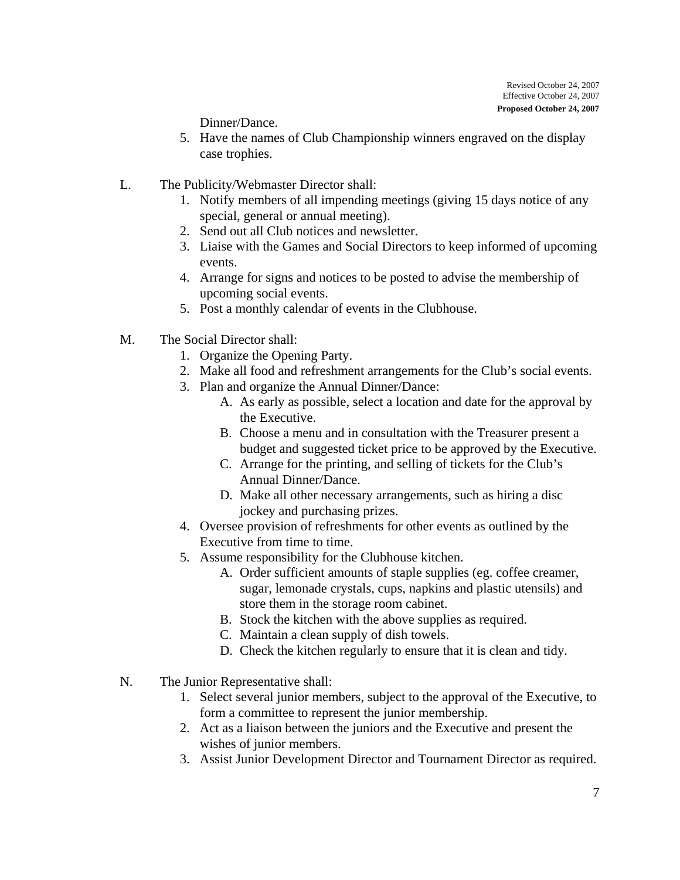Dinner/Dance.

- 5. Have the names of Club Championship winners engraved on the display case trophies.
- L. The Publicity/Webmaster Director shall:
	- 1. Notify members of all impending meetings (giving 15 days notice of any special, general or annual meeting).
	- 2. Send out all Club notices and newsletter.
	- 3. Liaise with the Games and Social Directors to keep informed of upcoming events.
	- 4. Arrange for signs and notices to be posted to advise the membership of upcoming social events.
	- 5. Post a monthly calendar of events in the Clubhouse.
- M. The Social Director shall:
	- 1. Organize the Opening Party.
	- 2. Make all food and refreshment arrangements for the Club's social events.
	- 3. Plan and organize the Annual Dinner/Dance:
		- A. As early as possible, select a location and date for the approval by the Executive.
		- B. Choose a menu and in consultation with the Treasurer present a budget and suggested ticket price to be approved by the Executive.
		- C. Arrange for the printing, and selling of tickets for the Club's Annual Dinner/Dance.
		- D. Make all other necessary arrangements, such as hiring a disc jockey and purchasing prizes.
	- 4. Oversee provision of refreshments for other events as outlined by the Executive from time to time.
	- 5. Assume responsibility for the Clubhouse kitchen.
		- A. Order sufficient amounts of staple supplies (eg. coffee creamer, sugar, lemonade crystals, cups, napkins and plastic utensils) and store them in the storage room cabinet.
		- B. Stock the kitchen with the above supplies as required.
		- C. Maintain a clean supply of dish towels.
		- D. Check the kitchen regularly to ensure that it is clean and tidy.
- N. The Junior Representative shall:
	- 1. Select several junior members, subject to the approval of the Executive, to form a committee to represent the junior membership.
	- 2. Act as a liaison between the juniors and the Executive and present the wishes of junior members.
	- 3. Assist Junior Development Director and Tournament Director as required.